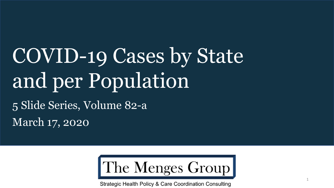# COVID-19 Cases by State and per Population 5 Slide Series, Volume 82-a

March 17, 2020

The Menges Group

Strategic Health Policy & Care Coordination Consulting

1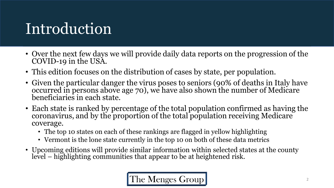## Introduction

- Over the next few days we will provide daily data reports on the progression of the COVID-19 in the USA.
- This edition focuses on the distribution of cases by state, per population.
- Given the particular danger the virus poses to seniors (90% of deaths in Italy have occurred in persons above age 70), we have also shown the number of Medicare beneficiaries in each state.
- Each state is ranked by percentage of the total population confirmed as having the coronavirus, and by the proportion of the total population receiving Medicare coverage.
	- The top 10 states on each of these rankings are flagged in yellow highlighting
	- Vermont is the lone state currently in the top 10 on both of these data metrics
- Upcoming editions will provide similar information within selected states at the county level – highlighting communities that appear to be at heightened risk.

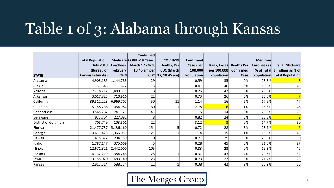### Table 1 of 3: Alabama through Kansas

|                      |                          |            | <b>Confirmed</b>         |                   |                   |                   |                        |                 |                              |
|----------------------|--------------------------|------------|--------------------------|-------------------|-------------------|-------------------|------------------------|-----------------|------------------------------|
|                      | <b>Total Population,</b> |            | Medicare COVID-19 Cases, | COVID-19          | <b>Confirmed</b>  |                   |                        | <b>Medicare</b> |                              |
|                      | <b>July 2019</b>         | Enrollees, | March 17 2020,           | Deaths, Per       | Cases per         |                   | Rank, Cases Deaths Per | Enrollees as    | <b>Rank, Medicare</b>        |
|                      | (Bureau of               | February   | 10:45 am per             | <b>CDC</b> (March | 100,000           | per 100,000       | <b>Confirmed</b>       |                 | % of Total Enrollees as % of |
| <b>STATE</b>         | <b>Census Estimate)</b>  | 2020       |                          | CDC 17, 10:45 am) | <b>Population</b> | <b>Population</b> | <b>Case</b>            | Population      | <b>Total Population</b>      |
| Alabama              | 4,903,185                | 1,144,788  | 29                       |                   | 0.59              | 35                | 0%                     | 23.3%           |                              |
| Alaska               | 731,545                  | 111,672    |                          |                   | 0.41              | 40                | 0%                     | 15.3%           | 49                           |
| Arizona              | 7,278,717                | 1,489,311  | 18                       |                   | 0.25              | 47                | 0%                     | 20.5%           | 33                           |
| Arkansas             | 3,017,825                | 710,916    | 22                       |                   | 0.73              | 26                | 0%                     | 23.6%           |                              |
| California           | 39,512,223               | 6,969,707  | 450                      | 11                | 1.14              | 16                | 2%                     | 17.6%           | 47                           |
| Colorado             | 5,758,736                | 1,054,987  | 160                      |                   | 2.78              |                   | 1%                     | 18.3%           | 46                           |
| Connecticut          | 3,565,287                | 741,121    | 41                       |                   | 1.15              | 14                | 0%                     | 20.8%           | 29                           |
| Delaware             | 973,764                  | 227,092    | 8                        |                   | 0.82              | 24                | 0%                     | 23.3%           | 9                            |
| District of Columbia | 705,749                  | 103,801    | 22                       |                   | 3.12              |                   | 0%                     | 14.7%           | 50                           |
| Florida              | 21,477,737               | 5,136,160  | 154                      |                   | 0.72              | 28                | 3%                     | 23.9%           |                              |
| Georgia              | 10,617,423               | 1,966,053  | 121                      |                   | 1.14              | 15                | 1%                     | 18.5%           | 45                           |
| Hawaii               | 1,415,872                | 294,159    | 10                       |                   | 0.71              | 29                | 0%                     | 20.8%           | 30                           |
| Idaho                | 1,787,147                | 375,609    |                          |                   | 0.28              | 45                | 0%                     | 21.0%           | 27                           |
| Illinois             | 12,671,821               | 2,442,000  | 105                      |                   | 0.83              | 23                | 0%                     | 19.3%           | 42                           |
| Indiana              | 6,732,219                | 1,384,246  | 25                       |                   | 0.37              | 43                | 4%                     | 20.6%           | 32                           |
| lowa                 | 3,155,070                | 683,140    | 23                       |                   | 0.73              | 27                | 0%                     | 21.7%           | 23                           |
| Kansas               | 2,913,314                | 588,374    | 11                       |                   | 0.38              | 42                | 9%                     | 20.2%           | 36                           |

The Menges Group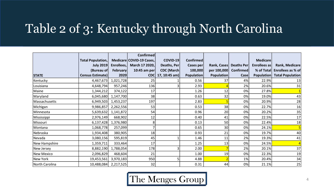#### Table 2 of 3: Kentucky through North Carolina

|                |                          |                      | <b>Confirmed</b>         |                   |                   |                   |             |                 |                              |
|----------------|--------------------------|----------------------|--------------------------|-------------------|-------------------|-------------------|-------------|-----------------|------------------------------|
|                | <b>Total Population,</b> |                      | Medicare COVID-19 Cases, | COVID-19          | <b>Confirmed</b>  |                   |             | <b>Medicare</b> |                              |
|                | <b>July 2019</b>         | Enrollees,           | March 17 2020,           | Deaths, Per       | Cases per         | Rank, Cases       | Deaths Per  | Enrollees as    | Rank, Medicare               |
|                | (Bureau of               | February             | 10:45 am per             | <b>CDC</b> (March | 100,000           | per 100,000       | Confirmed   |                 | % of Total Enrollees as % of |
| <b>STATE</b>   | <b>Census Estimate)</b>  | 2020                 |                          | CDC 17, 10:45 am) | <b>Population</b> | <b>Population</b> | <b>Case</b> | Population      | <b>Total Population</b>      |
| Kentucky       | 4,467,673                | 1,021,728            | 25                       |                   | 0.56              | 37                | 4%          | 22.9%           | 13                           |
| Louisiana      | 4,648,794                | 957,246              | 136                      |                   | 2.93              |                   | 2%          | 20.6%           | 31                           |
| Maine          | 1,344,212                | 374,122              | 17                       |                   | 1.26              | 12                | 0%          | 27.8%           |                              |
| Maryland       | 6,045,680                | 1,147,700            | 38                       |                   | 0.63              | 32                | 0%          | 19.0%           | 43                           |
| Massachusetts  | 6,949,503                | 1,453,237            | 197                      |                   | 2.83              |                   | 0%          | 20.9%           | 28                           |
| Michigan       | 9,986,857                | 2,262,556            | 53                       |                   | 0.53              | 38                | 0%          | 22.7%           | 16                           |
| Minnesota      | 5,639,632                | 1,141,872            | 54                       |                   | 0.96              | 20                | 0%          | 20.2%           | 35                           |
| Mississippi    | 2,976,149                | 668,902              | 12                       |                   | 0.40              | 41                | 0%          | 22.5%           | 17                           |
| Missouri       | 6,137,428                | 1,376,980            | 8                        |                   | 0.13              | 50                | 0%          | 22.4%           | 18                           |
| Montana        | 1,068,778                | 257,099              |                          |                   | 0.65              | 30                | 0%          | 24.1%           |                              |
| Nebraska       | 1,934,408                | 380,905              | 18                       |                   | 0.93              | 21                | 0%          | 19.7%           | 40                           |
| Nevada         | 3,080,156                | 595,819              | 45                       |                   | 1.46              | 11                | 2%          | 19.3%           | 41                           |
| New Hampshire  | 1,359,711                | 333,464              | 17                       |                   | 1.25              | 13                | 0%          | 24.5%           |                              |
| New Jersey     | 8,882,190                | 1,788,054            | 178                      |                   | 2.00              |                   | 2%          | 20.1%           | 37                           |
| New Mexico     | 2,096,829                | 468,604              | 21                       |                   | 1.00              | 19                | 0%          | 22.3%           | 19                           |
| New York       | 19,453,561               | 3,970,183            | 950                      | 5                 | 4.88              |                   | 1%          | 20.4%           | 34                           |
| North Carolina |                          | 10,488,084 2,217,525 | 32                       |                   | 0.31              | 44                | 0%          | 21.1%           | 25                           |

The Menges Group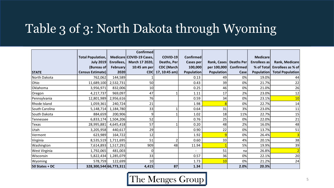### Table 3 of 3: North Dakota through Wyoming

|                |                          |                 | <b>Confirmed</b>         |                    |                   |                   |                   |                     |                         |
|----------------|--------------------------|-----------------|--------------------------|--------------------|-------------------|-------------------|-------------------|---------------------|-------------------------|
|                | <b>Total Population,</b> |                 | Medicare COVID-19 Cases, | COVID-19           | <b>Confirmed</b>  |                   |                   | <b>Medicare</b>     |                         |
|                | <b>July 2019</b>         | Enrollees,      | March 17 2020,           | Deaths, Per        | Cases per         | Rank, Cases       | <b>Deaths Per</b> | <b>Enrollees as</b> | <b>Rank, Medicare</b>   |
|                | (Bureau of               | <b>February</b> | 10:45 am per             | <b>CDC</b> (March) | 100,000           | per 100,000       | <b>Confirmed</b>  | % of Total          | Enrollees as % of       |
| <b>STATE</b>   | Census Estimate)         | 2020            | <b>CDC</b>               | 17, 10:45 am)      | <b>Population</b> | <b>Population</b> | Case              | <b>Population</b>   | <b>Total Population</b> |
| North Dakota   | 762,062                  | 144,589         |                          |                    | 0.13              | 49                | 0%                | 19.0%               | 44                      |
| Ohio           | 11,689,100               | 2,532,731       | 50                       |                    | 0.43              | 39                | 0%                | 21.7%               | 22                      |
| Oklahoma       | 3,956,971                | 832,006         | 10                       |                    | 0.25              | 46                | 0%                | 21.0%               | 26                      |
| Oregon         | 4,217,737                | 969,097         | 47                       |                    | 1.11              | 17                | 2%                | 23.0%               | 12                      |
| Pennsylvania   | 12,801,989               | 2,956,616       | 76                       |                    | 0.59              | 34                | 0%                | 23.1%               | 10                      |
| Rhode Island   | 1,059,361                | 240,724         | 21                       |                    | 1.98              |                   | 0%                | 22.7%               | 14                      |
| South Carolina | 5,148,714                | 1,184,780       | 33                       |                    | 0.64              | 31                | 3%                | 23.0%               | 11                      |
| South Dakota   | 884,659                  | 200,906         | 9                        |                    | 1.02              | 18                | 11%               | 22.7%               | 15                      |
| Tennessee      | 6,833,174                | 1,504,206       | 52                       |                    | 0.76              | 25                | 0%                | 22.0%               | 21                      |
| Texas          | 28,995,881               | 4,645,418       | 57                       |                    | 0.20              | 48                | 2%                | 16.0%               | 48                      |
| Utah           | 3,205,958                | 440,617         | 29                       |                    | 0.90              | 22                | 0%                | 13.7%               | 51                      |
| Vermont        | 623,989                  | 164,722         | 12                       |                    | 1.92              | g                 | 0%                | 26.4%               |                         |
| Virginia       | 8,535,519                | 1,711,695       | 51                       |                    | 0.60              | 33                | 4%                | 20.1%               | 38                      |
| Washington     | 7,614,893                | 1,517,291       | 909                      | 48                 | 11.94             |                   | 5%                | 19.9%               | 39                      |
| West Virginia  | 1,792,065                | 481,003         | O                        |                    |                   | 51                | nal               | 26.8%               |                         |
| Wisconsin      | 5,822,434                | 1,285,079       | 33                       |                    | 0.57              | 36                | 0%                | 22.1%               | 20                      |
| Wyoming        | 578,759                  | 122,699         | 10                       |                    | 1.73              | 10                | 0%                | 21.2%               | 24                      |
| 50 States + DC | 328,300,544 66,773,311   |                 | 4,415                    | 87                 | 1.34              |                   | 2.0%              | 20.3%               |                         |

The Menges Group